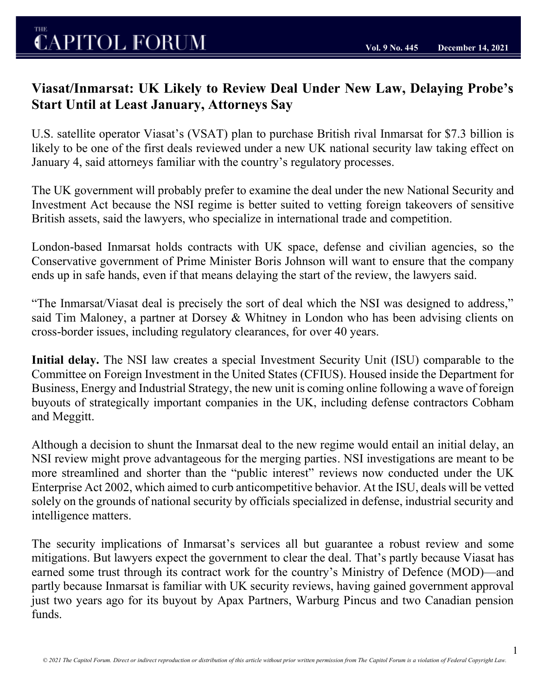## **CAPITOL FORUM**

1

## **Viasat/Inmarsat: UK Likely to Review Deal Under New Law, Delaying Probe's Start Until at Least January, Attorneys Say**

U.S. satellite operator Viasat's (VSAT) plan to purchase British rival Inmarsat for \$7.3 billion is likely to be one of the first deals reviewed under a new UK national security law taking effect on January 4, said attorneys familiar with the country's regulatory processes.

The UK government will probably prefer to examine the deal under the new National Security and Investment Act because the NSI regime is better suited to vetting foreign takeovers of sensitive British assets, said the lawyers, who specialize in international trade and competition.

London-based Inmarsat holds contracts with UK space, defense and civilian agencies, so the Conservative government of Prime Minister Boris Johnson will want to ensure that the company ends up in safe hands, even if that means delaying the start of the review, the lawyers said.

"The Inmarsat/Viasat deal is precisely the sort of deal which the NSI was designed to address," said Tim Maloney, a partner at Dorsey & Whitney in London who has been advising clients on cross-border issues, including regulatory clearances, for over 40 years.

**Initial delay.** The NSI law creates a special Investment Security Unit (ISU) comparable to the Committee on Foreign Investment in the United States (CFIUS). Housed inside the Department for Business, Energy and Industrial Strategy, the new unit is coming online following a wave of foreign buyouts of strategically important companies in the UK, including defense contractors Cobham and Meggitt.

Although a decision to shunt the Inmarsat deal to the new regime would entail an initial delay, an NSI review might prove advantageous for the merging parties. NSI investigations are meant to be more streamlined and shorter than the "public interest" reviews now conducted under the UK Enterprise Act 2002, which aimed to curb anticompetitive behavior. At the ISU, deals will be vetted solely on the grounds of national security by officials specialized in defense, industrial security and intelligence matters.

The security implications of Inmarsat's services all but guarantee a robust review and some mitigations. But lawyers expect the government to clear the deal. That's partly because Viasat has earned some trust through its contract work for the country's Ministry of Defence (MOD)—and partly because Inmarsat is familiar with UK security reviews, having gained government approval just two years ago for its buyout by Apax Partners, Warburg Pincus and two Canadian pension funds.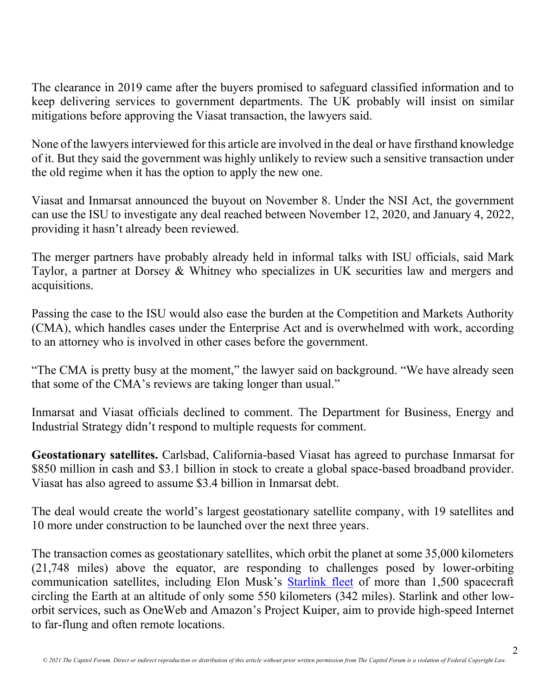The clearance in 2019 came after the buyers promised to safeguard classified information and to keep delivering services to government departments. The UK probably will insist on similar mitigations before approving the Viasat transaction, the lawyers said.

None of the lawyers interviewed for this article are involved in the deal or have firsthand knowledge of it. But they said the government was highly unlikely to review such a sensitive transaction under the old regime when it has the option to apply the new one.

Viasat and Inmarsat announced the buyout on November 8. Under the NSI Act, the government can use the ISU to investigate any deal reached between November 12, 2020, and January 4, 2022, providing it hasn't already been reviewed.

The merger partners have probably already held in informal talks with ISU officials, said Mark Taylor, a partner at Dorsey & Whitney who specializes in UK securities law and mergers and acquisitions.

Passing the case to the ISU would also ease the burden at the Competition and Markets Authority (CMA), which handles cases under the Enterprise Act and is overwhelmed with work, according to an attorney who is involved in other cases before the government.

"The CMA is pretty busy at the moment," the lawyer said on background. "We have already seen that some of the CMA's reviews are taking longer than usual."

Inmarsat and Viasat officials declined to comment. The Department for Business, Energy and Industrial Strategy didn't respond to multiple requests for comment.

**Geostationary satellites.** Carlsbad, California-based Viasat has agreed to purchase Inmarsat for \$850 million in cash and \$3.1 billion in stock to create a global space-based broadband provider. Viasat has also agreed to assume \$3.4 billion in Inmarsat debt.

The deal would create the world's largest geostationary satellite company, with 19 satellites and 10 more under construction to be launched over the next three years.

The transaction comes as geostationary satellites, which orbit the planet at some 35,000 kilometers (21,748 miles) above the equator, are responding to challenges posed by lower-orbiting communication satellites, including Elon Musk's [Starlink fleet](https://en.wikipedia.org/wiki/Starlink) of more than 1,500 spacecraft circling the Earth at an altitude of only some 550 kilometers (342 miles). Starlink and other loworbit services, such as OneWeb and Amazon's Project Kuiper, aim to provide high-speed Internet to far-flung and often remote locations.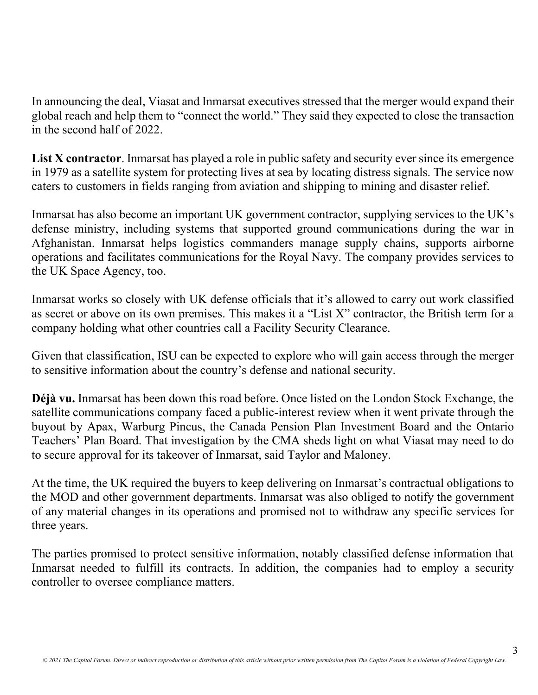In announcing the deal, Viasat and Inmarsat executives stressed that the merger would expand their global reach and help them to "connect the world." They said they expected to close the transaction in the second half of 2022.

List X contractor. Inmarsat has played a role in public safety and security ever since its emergence in 1979 as a satellite system for protecting lives at sea by locating distress signals. The service now caters to customers in fields ranging from aviation and shipping to mining and disaster relief.

Inmarsat has also become an important UK government contractor, supplying services to the UK's defense ministry, including systems that supported ground communications during the war in Afghanistan. Inmarsat helps logistics commanders manage supply chains, supports airborne operations and facilitates communications for the Royal Navy. The company provides services to the UK Space Agency, too.

Inmarsat works so closely with UK defense officials that it's allowed to carry out work classified as secret or above on its own premises. This makes it a "List X" contractor, the British term for a company holding what other countries call a Facility Security Clearance.

Given that classification, ISU can be expected to explore who will gain access through the merger to sensitive information about the country's defense and national security.

**Déjà vu.** Inmarsat has been down this road before. Once listed on the London Stock Exchange, the satellite communications company faced a public-interest review when it went private through the buyout by Apax, Warburg Pincus, the Canada Pension Plan Investment Board and the Ontario Teachers' Plan Board. That investigation by the CMA sheds light on what Viasat may need to do to secure approval for its takeover of Inmarsat, said Taylor and Maloney.

At the time, the UK required the buyers to keep delivering on Inmarsat's contractual obligations to the MOD and other government departments. Inmarsat was also obliged to notify the government of any material changes in its operations and promised not to withdraw any specific services for three years.

The parties promised to protect sensitive information, notably classified defense information that Inmarsat needed to fulfill its contracts. In addition, the companies had to employ a security controller to oversee compliance matters.